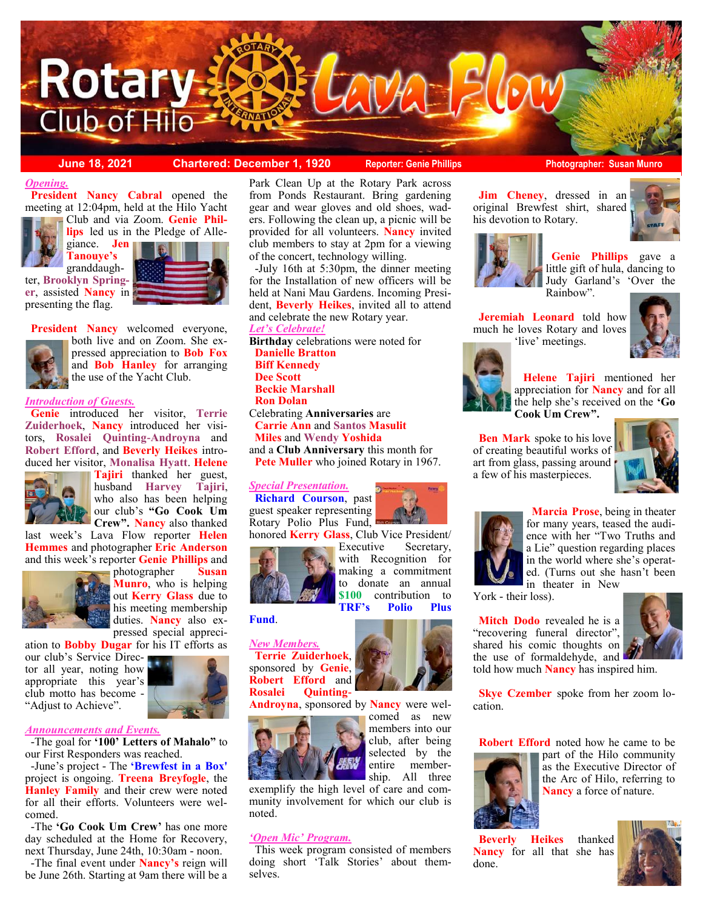

**Tanouye's** 

#### **June 18, 2021 Chartered: December 1, 1920 Reporter: Genie Phillips Photographer: Susan Munro**

## *Opening.*

 meeting at 12:04pm, held at the Hilo Yacht **President Nancy Cabral** opened the Club and via Zoom. **Genie Phil-**

**lips** led us in the Pledge of Allegiance. **Jen** 

granddaughter, **Brooklyn Springer**, assisted **Nancy** in presenting the flag.





 **President Nancy** welcomed everyone, both live and on Zoom. She expressed appreciation to **Bob Fox**  and **Bob Hanley** for arranging the use of the Yacht Club.

### *Introduction of Guests.*

 **Genie** introduced her visitor, **Terrie Zuiderhoek**, **Nancy** introduced her visitors, **Rosalei Quinting-Androyna** and **Robert Efford**, and **Beverly Heikes** introduced her visitor, **Monalisa Hyatt**. **Helene** 



**Tajiri** thanked her guest, husband **Harvey Tajiri**, who also has been helping our club's **"Go Cook Um Crew". Nancy** also thanked

last week's Lava Flow reporter **Helen Hemmes** and photographer **Eric Anderson** and this week's reporter **Genie Phillips** and



photographer **Susan Munro**, who is helping out **Kerry Glass** due to his meeting membership duties. **Nancy** also expressed special appreci-

ation to **Bobby Dugar** for his IT efforts as our club's Service Director all year, noting how appropriate this year's club motto has become -



#### *Announcements and Events.*

"Adjust to Achieve".

 -The goal for **'100' Letters of Mahalo"** to our First Responders was reached.

 -June's project - The **'Brewfest in a Box'**  project is ongoing. **Treena Breyfogle**, the **Hanley Family** and their crew were noted for all their efforts. Volunteers were welcomed.

 -The **'Go Cook Um Crew'** has one more day scheduled at the Home for Recovery, next Thursday, June 24th, 10:30am - noon.

 -The final event under **Nancy's** reign will be June 26th. Starting at 9am there will be a

Park Clean Up at the Rotary Park across from Ponds Restaurant. Bring gardening gear and wear gloves and old shoes, waders. Following the clean up, a picnic will be provided for all volunteers. **Nancy** invited club members to stay at 2pm for a viewing of the concert, technology willing.

 -July 16th at 5:30pm, the dinner meeting for the Installation of new officers will be held at Nani Mau Gardens. Incoming President, **Beverly Heikes**, invited all to attend and celebrate the new Rotary year.

*Let's Celebrate!* **Birthday** celebrations were noted for  **Danielle Bratton Biff Kennedy Dee Scott Beckie Marshall Ron Dolan**  Celebrating **Anniversaries** are

 **Carrie Ann** and **Santos Masulit Miles** and **Wendy Yoshida**

and a **Club Anniversary** this month for  **Pete Muller** who joined Rotary in 1967.

#### *Special Presentation.*

 **Richard Courson**, past guest speaker representing Rotary Polio Plus Fund, honored **Kerry Glass**, Club Vice President/



with Recognition for making a commitment to donate an annual **\$100** contribution to **TRF's Polio Plus** 

### **Fund**.



**Androyna**, sponsored by **Nancy** were wel-



club, after being selected by the entire membership. All three exemplify the high level of care and com-

comed as new members into our

munity involvement for which our club is noted.

#### *'Open Mic' Program.*

 This week program consisted of members doing short 'Talk Stories' about themselves.



his devotion to Rotary.



 **Jeremiah Leonard** told how much he loves Rotary and loves 'live' meetings.

 **Jim Cheney**, dressed in an original Brewfest shirt, shared



 **Helene Tajiri** mentioned her appreciation for **Nancy** and for all the help she's received on the **'Go Cook Um Crew".** 

 **Ben Mark** spoke to his love of creating beautiful works of art from glass, passing around a few of his masterpieces.





 **Marcia Prose**, being in theater for many years, teased the audience with her "Two Truths and a Lie" question regarding places in the world where she's operated. (Turns out she hasn't been in theater in New

York - their loss).

**Mitch Dodo** revealed he is a "recovering funeral director", shared his comic thoughts on the use of formaldehyde, and



told how much **Nancy** has inspired him.

 **Skye Czember** spoke from her zoom location.

 **Robert Efford** noted how he came to be



part of the Hilo community as the Executive Director of the Arc of Hilo, referring to **Nancy** a force of nature.

 **Beverly Heikes** thanked **Nancy** for all that she has done.